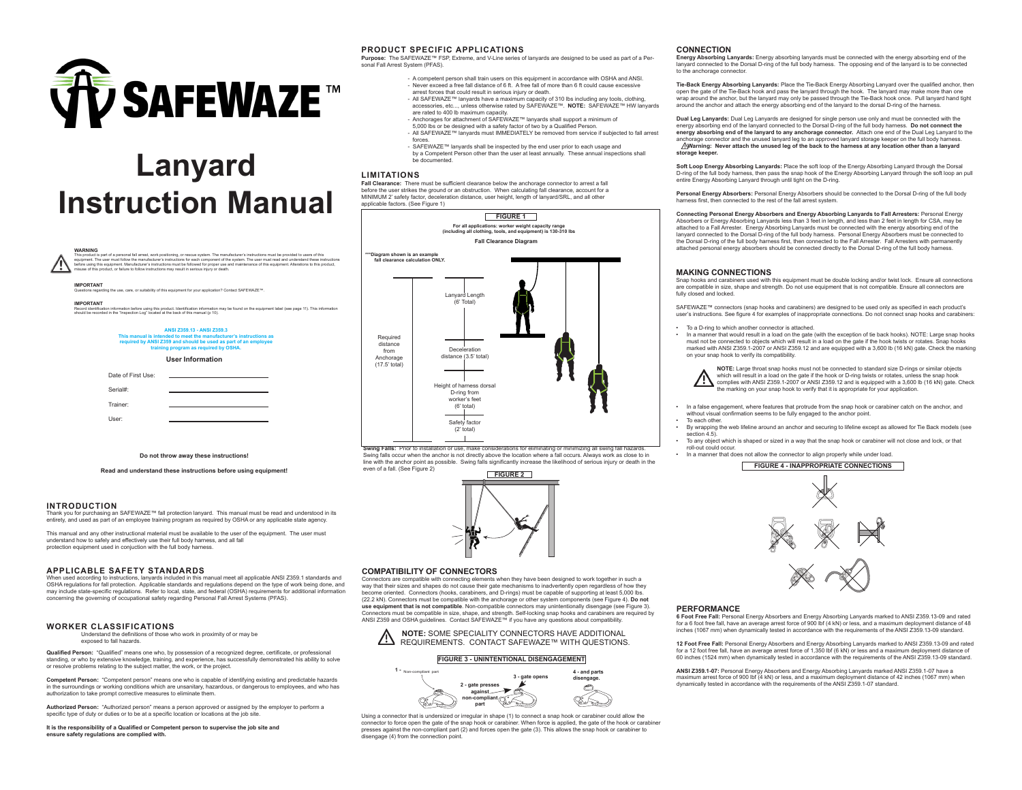

# **Lanyard Instruction Manual**

|                                                                                                                                                                                                              | <b>WARNING</b><br>This product is part of a personal fall arrest, work positioning, or rescue system. The manufacturer's instructions must be provided to users of this<br>equipment. The user must follow the manufacturer's instructions for each component of the system. The user must read and understand these instructions<br>before using this equipment. Manufacturer's instructions must be followed for proper use and maintenance of this equipment. Alterations to this product,<br>misuse of this product, or failure to follow instructions may result in serious injury or death. |                                                                                                                            |  |  |  |
|--------------------------------------------------------------------------------------------------------------------------------------------------------------------------------------------------------------|---------------------------------------------------------------------------------------------------------------------------------------------------------------------------------------------------------------------------------------------------------------------------------------------------------------------------------------------------------------------------------------------------------------------------------------------------------------------------------------------------------------------------------------------------------------------------------------------------|----------------------------------------------------------------------------------------------------------------------------|--|--|--|
|                                                                                                                                                                                                              | <b>IMPORTANT</b>                                                                                                                                                                                                                                                                                                                                                                                                                                                                                                                                                                                  | Questions regarding the use, care, or suitability of this equipment for your application? Contact SAFEWAZE <sup>14</sup> . |  |  |  |
|                                                                                                                                                                                                              | <b>IMPORTANT</b><br>Record identification information before using this product. Identification information may be found on the equipment label (see page 11). This information<br>should be recorded in the "Inspection Log" located at the back of this manual (p 10).                                                                                                                                                                                                                                                                                                                          |                                                                                                                            |  |  |  |
| ANSI Z359.13 - ANSI Z359.3<br>This manual is intended to meet the manufacturer's instructions as<br>required by ANSI Z359 and should be used as part of an employee<br>training program as required by OSHA. |                                                                                                                                                                                                                                                                                                                                                                                                                                                                                                                                                                                                   |                                                                                                                            |  |  |  |
| <b>User Information</b>                                                                                                                                                                                      |                                                                                                                                                                                                                                                                                                                                                                                                                                                                                                                                                                                                   |                                                                                                                            |  |  |  |
|                                                                                                                                                                                                              | Date of First Llse:                                                                                                                                                                                                                                                                                                                                                                                                                                                                                                                                                                               |                                                                                                                            |  |  |  |
|                                                                                                                                                                                                              | Serial#:                                                                                                                                                                                                                                                                                                                                                                                                                                                                                                                                                                                          |                                                                                                                            |  |  |  |
|                                                                                                                                                                                                              | Trainer:                                                                                                                                                                                                                                                                                                                                                                                                                                                                                                                                                                                          |                                                                                                                            |  |  |  |
|                                                                                                                                                                                                              | User:                                                                                                                                                                                                                                                                                                                                                                                                                                                                                                                                                                                             |                                                                                                                            |  |  |  |
|                                                                                                                                                                                                              |                                                                                                                                                                                                                                                                                                                                                                                                                                                                                                                                                                                                   |                                                                                                                            |  |  |  |

**Do not throw away these instructions!**

**Read and understand these instructions before using equipment!**

## **INTRODUCTION**

Thank you for purchasing an SAFEWAZE™ fall protection lanyard. This manual must be read and understood in its into entirety, and used as part of an employee training program as required by OSHA or any applicable state agency.

This manual and any other instructional material must be available to the user of the equipment. The user must understand how to safely and effectively use their full body harness, and all fall protection equipment used in conjuction with the full body harness.

## **APPLICABLE SAFETY STANDARDS**

When used according to instructions, lanyards included in this manual meet all applicable ANSI Z359.1 standards and OSHA regulations for fall protection. Applicable standards and regulations depend on the type of work being done, and may include state-specific regulations. Refer to local, state, and federal (OSHA) requirements for additional information may include state-specific regulations. Refer to local, state, and federal (OSHA) requirements for a concerning the governing of occupational safety regarding Personal Fall Arrest Systems (PFAS).

## **WORKER CLASSIFICATIONS**

Understand the definitions of those who work in proximity of or may be exposed to fall hazards.

**Qualified Person:** "Qualified" means one who, by possession of a recognized degree, certificate, or professional standing, or who by extensive knowledge, training, and experience, has successfully demonstrated his ability to solve or resolve problems relating to the subject matter, the work, or the project.

**Competent Person:** "Competent person" means one who is capable of identifying existing and predictable hazards in the surroundings or working conditions which are unsanitary, hazardous, or dangerous to employees, and who has authorization to take prompt corrective measures to eliminate them.

**Authorized Person:** "Authorized person" means a person approved or assigned by the employer to perform a specific type of duty or duties or to be at a specific location or locations at the job site.

**It is the responsibility of a Qualified or Competent person to supervise the job site and ensure safety regulations are complied with.** 

## **PRODUCT SPECIFIC APPLICATIONS**

**Purpose:** The SAFEWAZE™ FSP, Extreme, and V-Line series of lanyards are designed to be used as part of a Personal Fall Arrest System (PFAS).

- A competent person shall train users on this equipment in accordance with OSHA and ANSI. - Never exceed a free fall distance of 6 ft. A free fall of more than 6 ft could cause excessive arrest forces that could result in serious injury or death.
- All SAFEWAZE™ lanyards have a maximum capacity of 310 lbs including any tools, clothing, accessories, etc..., unless otherwise rated by SAFEWAZE™. **NOTE:** SAFEWAZE™ HW lanyards
- are rated to 400 lb maximum capacity. Anchorages for attachment of SAFEWAZE™ lanyards shall support a minimum of 5,000 lbs or be designed with a safety factor of two by a Qualified Person.
- All SAFEWAZE™ lanyards must IMMEDIATELY be removed from service if subjected to fall arrest forces.
- SAFEWAZE™ lanyards shall be inspected by the end user prior to each usage and by a Competent Person other than the user at least annually. These annual inspections shall be documented.

## **LIMITATIONS**

Fall Clearance: There must be sufficient clearance below the anchorage connector to arrest a fall before the user strikes the ground or an obstruction. When calculating fall clearance, account for a MINIMUM 2' safety factor, deceleration distance, user height, length of lanyard/SRL, and all other applicable factors. (See Figure 1)



Swing falls occur when the anchor is not directly above the location where a fall occurs. Always work as close to in line with the anchor point as possible. Swing falls significantly increase the likelihood of serious injury or death in the even of a fall. (See Figure 2)



## **COMPATIBILITY OF CONNECTORS**

Connectors are compatible with connecting elements when they have been designed to work together in such a way that their sizes and shapes do not cause their gate mechanisms to inadvertently open regardless of how they become oriented. Connectors (hooks, carabiners, and D-rings) must be capable of supporting at least 5,000 lbs. (22.2 kN). Connectors must be compatible with the anchorage or other system components (see Figure 4). **Do not use equipment that is not compatible**. Non-compatible connectors may unintentionally disengage (see Figure 3). Connectors must be compatible in size, shape, and strength. Self-locking snap hooks and carabiners are required by ANSI Z359 and OSHA guidelines. Contact SAFEWAZE™ if you have any questions about compatibility.



#### **FIGURE 3 - UNINTENTIONAL DISENGAGEMENT**



Using a connector that is undersized or irregular in shape (1) to connect a snap hook or carabiner could allow the connector to force open the gate of the snap hook or carabiner. When force is applied, the gate of the hook or carabiner presses against the non-compliant part (2) and forces open the gate (3). This allows the snap hook or carabiner to disengage (4) from the connection point.

#### **CONNECTION**

**Energy Absorbing Lanyards:** Energy absorbing lanyards must be connected with the energy absorbing end of the lanyard connected to the Dorsal D-ring of the full body harness. The opposing end of the lanyard is to be connected to the anchorage connector.

**Tie-Back Energy Absorbing Lanyards:** Place the Tie-Back Energy Absorbing Lanyard over the qualified anchor, then open the gate of the Tie-Back hook and pass the lanyard through the hook. The lanyard may make more than one wrap around the anchor, but the lanyard may only be passed through the Tie-Back hook once. Pull lanyard hand tight around the anchor and attach the energy absorbing end of the lanyard to the dorsal D-ring of the harness.

**Dual Leg Lanyards:** Dual Leg Lanyards are designed for single person use only and must be connected with the energy absorbing end of the lanyard connected to the Dorsal D-ring of the full body harness. **Do not connect the energy absorbing end of the lanyard to any anchorage connector.** Attach one end of the Dual Leg Lanyard to the anchorage connector and the unused lanyard leg to an approved lanyard storage keeper on the full body harness. **Warning: Never attach the unused leg of the back to the harness at any location other than a lanyard storage keeper.**

**Soft Loop Energy Absorbing Lanyards:** Place the soft loop of the Energy Absorbing Lanyard through the Dorsal D-ring of the full body harness, then pass the snap hook of the Energy Absorbing Lanyard through the soft loop an pull entire Energy Absorbing Lanyard through until tight on the D-ring.

**Personal Energy Absorbers:** Personal Energy Absorbers should be connected to the Dorsal D-ring of the full body harness first, then connected to the rest of the fall arrest system.

**Connecting Personal Energy Absorbers and Energy Absorbing Lanyards to Fall Arresters:** Personal Energy Absorbers or Energy Absorbing Lanyards less than 3 feet in length, and less than 2 feet in length for CSA, may be attached to a Fall Arrester. Energy Absorbing Lanyards must be connected with the energy absorbing end of the lanyard connected to the Dorsal D-ring of the full body harness. Personal Energy Absorbers must be connected to the Dorsal D-ring of the full body harness first, then connected to the Fall Arrester. Fall Arresters with permanently attached personal energy absorbers should be connected directly to the Dorsal D-ring of the full body harness.

#### **MAKING CONNECTIONS**

Snap hooks and carabiners used with this equipment must be double locking and/or twist lock. Ensure all connections are compatible in size, shape and strength. Do not use equipment that is not compatible. Ensure all connectors are fully closed and locked.

SAFEWAZE™ connectors (snap hooks and carabiners) are designed to be used only as specified in each product's user's instructions. See figure 4 for examples of inappropriate connections. Do not connect snap hooks and carabiners:

• To a D-ring to which another connector is attached.

• In a manner that would result in a load on the gate (with the exception of tie back hooks). NOTE: Large snap hooks must not be connected to objects which will result in a load on the gate if the hook twists or rotates. Snap hooks marked with ANSI Z359.1-2007 or ANSI Z359.12 and are equipped with a 3,600 lb (16 kN) gate. Check the marking on your snap hook to verify its compatibility.

**NOTE:** Large throat snap hooks must not be connected to standard size D-rings or similar objects which will result in a load on the gate if the hook or D-ring twists or rotates, unless the snap hook complies with ANSI Z359.1-2007 or ANSI Z359.12 and is equipped with a 3,600 lb (16 kN) gate. Check he marking on your snap hook to verify that it is appropriate for your application.

- In a false engagement, where features that protrude from the snap hook or carabiner catch on the anchor, and without visual confirmation seems to be fully engaged to the anchor point.
- To each other.
- By wrapping the web lifeline around an anchor and securing to lifeline except as allowed for Tie Back models (see section 4.5)
- To any object which is shaped or sized in a way that the snap hook or carabiner will not close and lock, or that roll-out could occur.
- In a manner that does not allow the connector to align properly while under load.

## **FIGURE 4 - INAPPROPRIATE CONNECTIONS**



## **PERFORMANCE**

**6 Foot Free Fall:** Personal Energy Absorbers and Energy Absorbing Lanyards marked to ANSI Z359.13-09 and rated for a 6 foot free fall, have an average arrest force of 900 lbf (4 kN) or less, and a maximum deployment distance of 48 inches (1067 mm) when dynamically tested in accordance with the requirements of the ANSI Z359.13-09 standard.

**12 Foot Free Fall:** Personal Energy Absorbers and Energy Absorbing Lanyards marked to ANSI Z359.13-09 and rated for a 12 foot free fall, have an average arrest force of 1,350 lbf (6 kN) or less and a maximum deployment distance of 60 inches (1524 mm) when dynamically tested in accordance with the requirements of the ANSI Z359.13-09 standard.

**ANSI Z359.1-07:** Personal Energy Absorbers and Energy Absorbing Lanyards marked ANSI Z359.1-07 have a maximum arrest force of 900 lbf (4 kN) or less, and a maximum deployment distance of 42 inches (1067 mm) when<br>dynamically tested in accordance with the requirements of the ANSI Z359.1-07 standard.